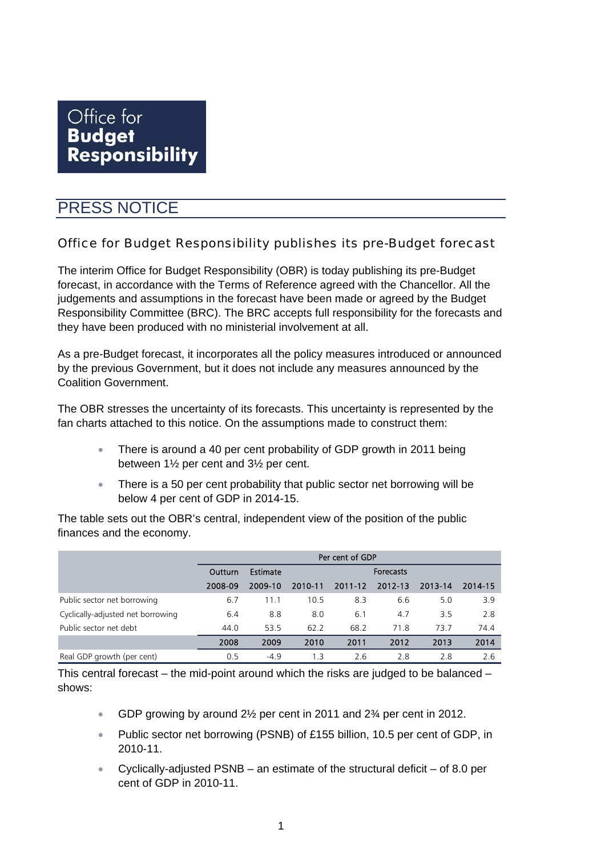# PRESS NOTICE

### Office for Budget Responsibility publishes its pre-Budget forecast

The interim Office for Budget Responsibility (OBR) is today publishing its pre-Budget forecast, in accordance with the Terms of Reference agreed with the Chancellor. All the judgements and assumptions in the forecast have been made or agreed by the Budget Responsibility Committee (BRC). The BRC accepts full responsibility for the forecasts and they have been produced with no ministerial involvement at all.

As a pre-Budget forecast, it incorporates all the policy measures introduced or announced by the previous Government, but it does not include any measures announced by the Coalition Government.

The OBR stresses the uncertainty of its forecasts. This uncertainty is represented by the fan charts attached to this notice. On the assumptions made to construct them:

- There is around a 40 per cent probability of GDP growth in 2011 being between 1½ per cent and 3½ per cent.
- There is a 50 per cent probability that public sector net borrowing will be below 4 per cent of GDP in 2014-15.

The table sets out the OBR's central, independent view of the position of the public finances and the economy.

|                                   | Per cent of GDP |          |           |         |         |         |         |
|-----------------------------------|-----------------|----------|-----------|---------|---------|---------|---------|
|                                   | Outturn         | Estimate | Forecasts |         |         |         |         |
|                                   | 2008-09         | 2009-10  | 2010-11   | 2011-12 | 2012-13 | 2013-14 | 2014-15 |
| Public sector net borrowing       | 6.7             | 11.1     | 10.5      | 8.3     | 6.6     | 5.0     | 3.9     |
| Cyclically-adjusted net borrowing | 6.4             | 8.8      | 8.0       | 6.1     | 4.7     | 3.5     | 2.8     |
| Public sector net debt            | 44.0            | 53.5     | 62.2      | 68.2    | 71.8    | 73.7    | 74.4    |
|                                   | 2008            | 2009     | 2010      | 2011    | 2012    | 2013    | 2014    |
| Real GDP growth (per cent)        | 0.5             | $-4.9$   | 1.3       | 2.6     | 2.8     | 2.8     | 2.6     |

This central forecast – the mid-point around which the risks are judged to be balanced – shows:

- GDP growing by around  $2\frac{1}{2}$  per cent in 2011 and  $2\frac{3}{4}$  per cent in 2012.
- Public sector net borrowing (PSNB) of £155 billion, 10.5 per cent of GDP, in 2010-11.
- Cyclically-adjusted  $PSNB an$  estimate of the structural deficit  $-$  of 8.0 per cent of GDP in 2010-11.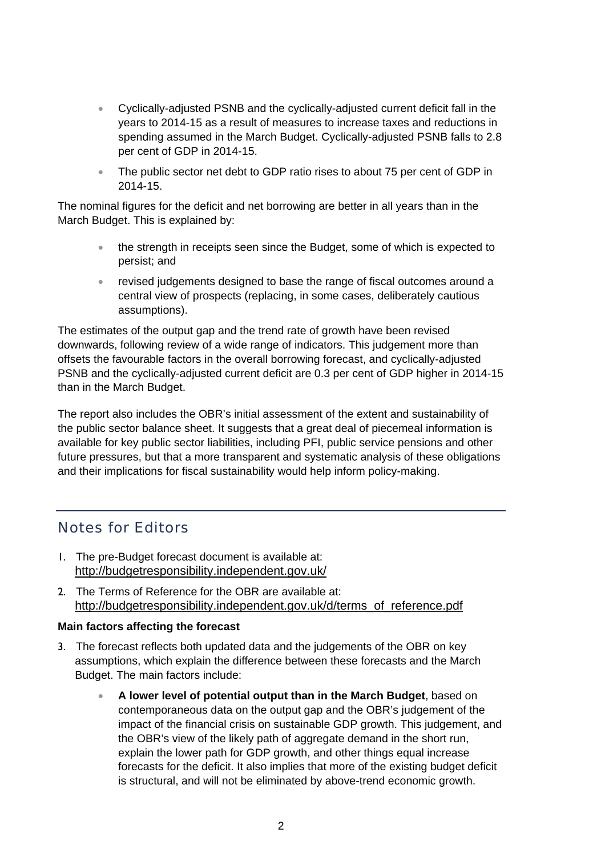- Cyclically-adjusted PSNB and the cyclically-adjusted current deficit fall in the years to 2014-15 as a result of measures to increase taxes and reductions in spending assumed in the March Budget. Cyclically-adjusted PSNB falls to 2.8 per cent of GDP in 2014-15.
- The public sector net debt to GDP ratio rises to about 75 per cent of GDP in 2014-15.

The nominal figures for the deficit and net borrowing are better in all years than in the March Budget. This is explained by:

- the strength in receipts seen since the Budget, some of which is expected to persist; and
- revised judgements designed to base the range of fiscal outcomes around a central view of prospects (replacing, in some cases, deliberately cautious assumptions).

The estimates of the output gap and the trend rate of growth have been revised downwards, following review of a wide range of indicators. This judgement more than offsets the favourable factors in the overall borrowing forecast, and cyclically-adjusted PSNB and the cyclically-adjusted current deficit are 0.3 per cent of GDP higher in 2014-15 than in the March Budget.

The report also includes the OBR's initial assessment of the extent and sustainability of the public sector balance sheet. It suggests that a great deal of piecemeal information is available for key public sector liabilities, including PFI, public service pensions and other future pressures, but that a more transparent and systematic analysis of these obligations and their implications for fiscal sustainability would help inform policy-making.

## Notes for Editors

- 1. The pre-Budget forecast document is available at: <http://budgetresponsibility.independent.gov.uk/>
- 2. The Terms of Reference for the OBR are available at: [http://budgetresponsibility.independent.gov.uk/d/terms\\_of\\_reference.pdf](http://budgetresponsibility.independent.gov.uk/d/terms_of_reference.pdf)

### **Main factors affecting the forecast**

- 3. The forecast reflects both updated data and the judgements of the OBR on key assumptions, which explain the difference between these forecasts and the March Budget. The main factors include:
	- **A lower level of potential output than in the March Budget**, based on contemporaneous data on the output gap and the OBR's judgement of the impact of the financial crisis on sustainable GDP growth. This judgement, and the OBR's view of the likely path of aggregate demand in the short run, explain the lower path for GDP growth, and other things equal increase forecasts for the deficit. It also implies that more of the existing budget deficit is structural, and will not be eliminated by above-trend economic growth.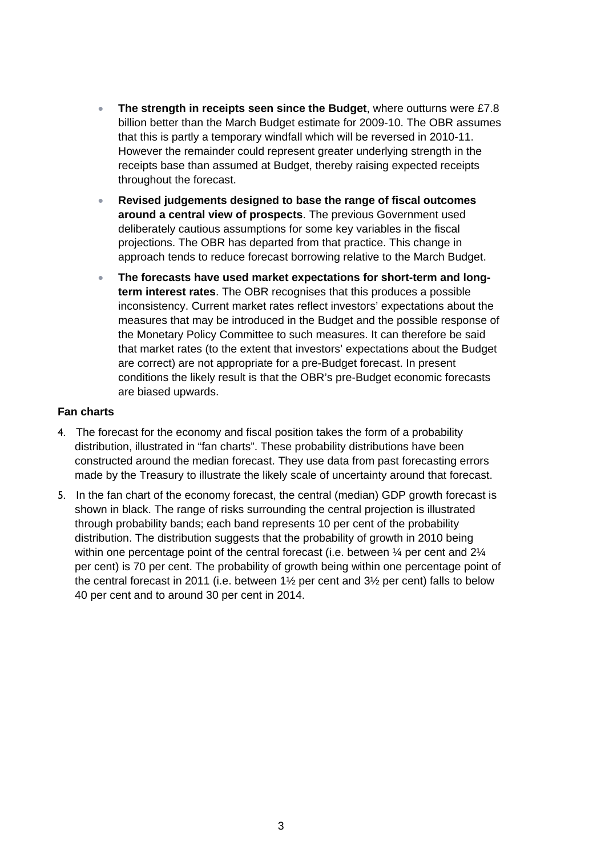- **The strength in receipts seen since the Budget**, where outturns were £7.8 billion better than the March Budget estimate for 2009-10. The OBR assumes that this is partly a temporary windfall which will be reversed in 2010-11. However the remainder could represent greater underlying strength in the receipts base than assumed at Budget, thereby raising expected receipts throughout the forecast.
- **Revised judgements designed to base the range of fiscal outcomes around a central view of prospects**. The previous Government used deliberately cautious assumptions for some key variables in the fiscal projections. The OBR has departed from that practice. This change in approach tends to reduce forecast borrowing relative to the March Budget.
- **The forecasts have used market expectations for short-term and longterm interest rates**. The OBR recognises that this produces a possible inconsistency. Current market rates reflect investors' expectations about the measures that may be introduced in the Budget and the possible response of the Monetary Policy Committee to such measures. It can therefore be said that market rates (to the extent that investors' expectations about the Budget are correct) are not appropriate for a pre-Budget forecast. In present conditions the likely result is that the OBR's pre-Budget economic forecasts are biased upwards.

#### **Fan charts**

- 4. The forecast for the economy and fiscal position takes the form of a probability distribution, illustrated in "fan charts". These probability distributions have been constructed around the median forecast. They use data from past forecasting errors made by the Treasury to illustrate the likely scale of uncertainty around that forecast.
- 5. In the fan chart of the economy forecast, the central (median) GDP growth forecast is shown in black. The range of risks surrounding the central projection is illustrated through probability bands; each band represents 10 per cent of the probability distribution. The distribution suggests that the probability of growth in 2010 being within one percentage point of the central forecast (i.e. between  $\frac{1}{4}$  per cent and 2 $\frac{1}{4}$ per cent) is 70 per cent. The probability of growth being within one percentage point of the central forecast in 2011 (i.e. between 1½ per cent and 3½ per cent) falls to below 40 per cent and to around 30 per cent in 2014.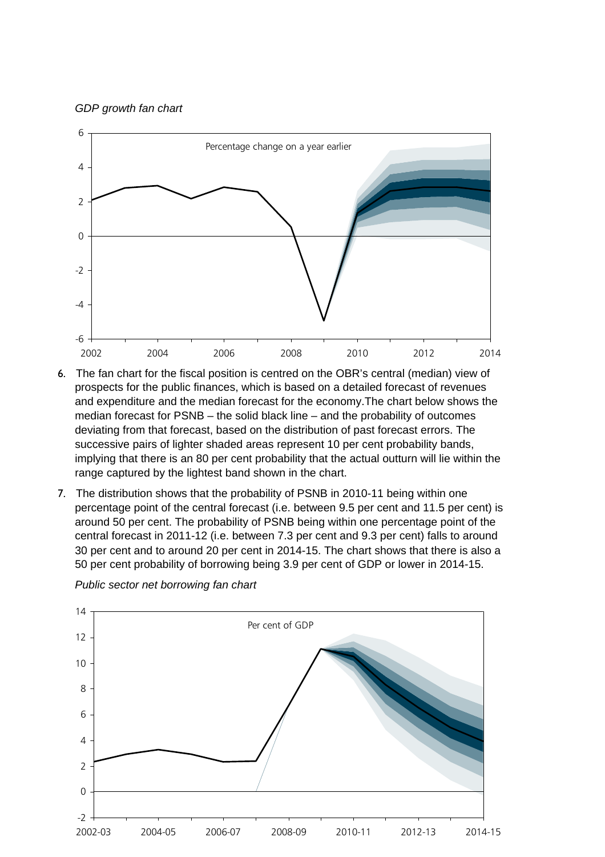*GDP growth fan chart* 



- 6. The fan chart for the fiscal position is centred on the OBR's central (median) view of prospects for the public finances, which is based on a detailed forecast of revenues and expenditure and the median forecast for the economy.The chart below shows the median forecast for PSNB – the solid black line – and the probability of outcomes deviating from that forecast, based on the distribution of past forecast errors. The successive pairs of lighter shaded areas represent 10 per cent probability bands, implying that there is an 80 per cent probability that the actual outturn will lie within the range captured by the lightest band shown in the chart.
- 7. The distribution shows that the probability of PSNB in 2010-11 being within one percentage point of the central forecast (i.e. between 9.5 per cent and 11.5 per cent) is around 50 per cent. The probability of PSNB being within one percentage point of the central forecast in 2011-12 (i.e. between 7.3 per cent and 9.3 per cent) falls to around 30 per cent and to around 20 per cent in 2014-15. The chart shows that there is also a 50 per cent probability of borrowing being 3.9 per cent of GDP or lower in 2014-15.



*Public sector net borrowing fan chart*